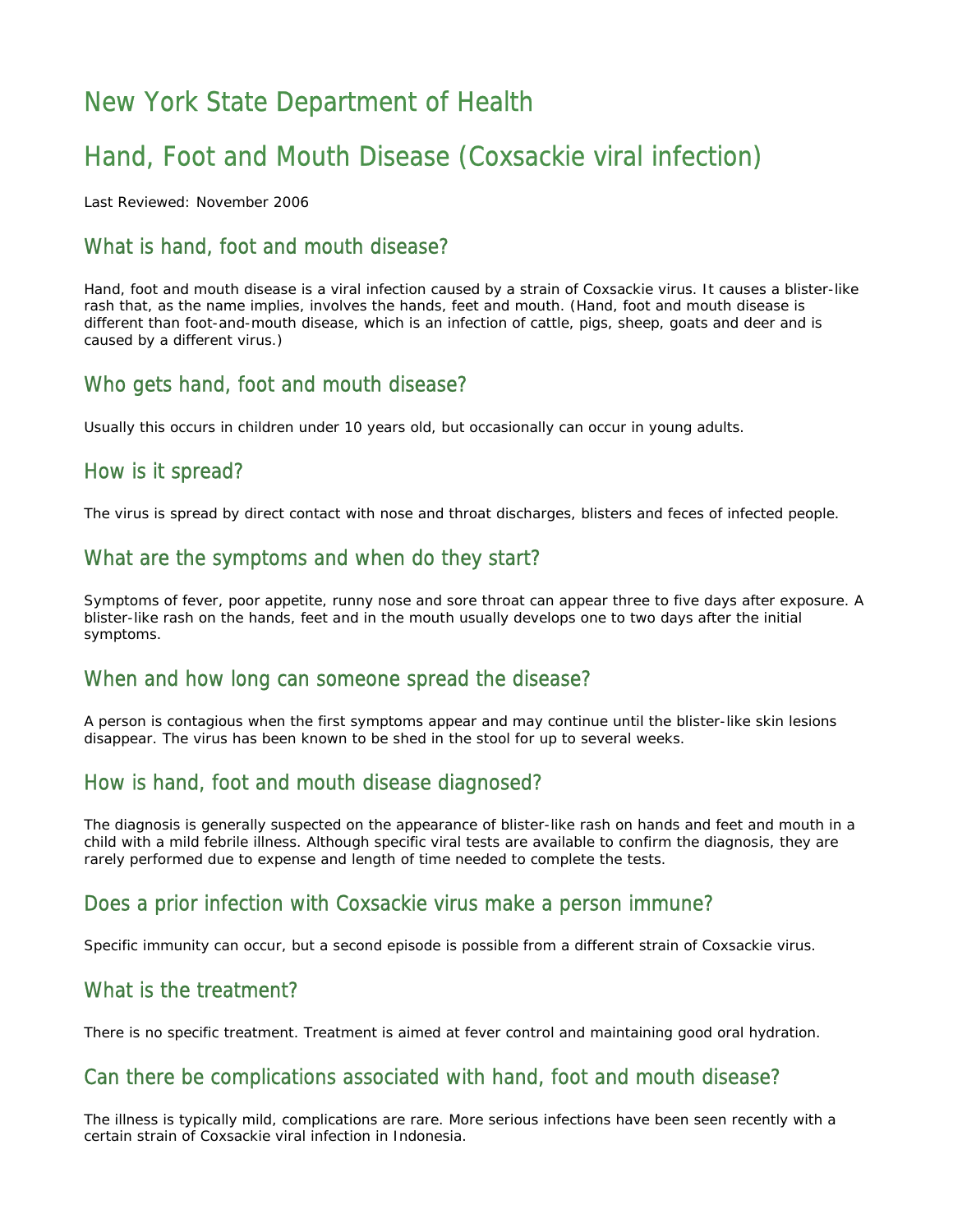# New York State Department of Health

# Hand, Foot and Mouth Disease (Coxsackie viral infection)

Last Reviewed: November 2006

### What is hand, foot and mouth disease?

Hand, foot and mouth disease is a viral infection caused by a strain of Coxsackie virus. It causes a blister-like rash that, as the name implies, involves the hands, feet and mouth. (Hand, foot and mouth disease is different than foot-and-mouth disease, which is an infection of cattle, pigs, sheep, goats and deer and is caused by a different virus.)

### Who gets hand, foot and mouth disease?

Usually this occurs in children under 10 years old, but occasionally can occur in young adults.

### How is it spread?

The virus is spread by direct contact with nose and throat discharges, blisters and feces of infected people.

### What are the symptoms and when do they start?

Symptoms of fever, poor appetite, runny nose and sore throat can appear three to five days after exposure. A blister-like rash on the hands, feet and in the mouth usually develops one to two days after the initial symptoms.

#### When and how long can someone spread the disease?

A person is contagious when the first symptoms appear and may continue until the blister-like skin lesions disappear. The virus has been known to be shed in the stool for up to several weeks.

### How is hand, foot and mouth disease diagnosed?

The diagnosis is generally suspected on the appearance of blister-like rash on hands and feet and mouth in a child with a mild febrile illness. Although specific viral tests are available to confirm the diagnosis, they are rarely performed due to expense and length of time needed to complete the tests.

### Does a prior infection with Coxsackie virus make a person immune?

Specific immunity can occur, but a second episode is possible from a different strain of Coxsackie virus.

#### What is the treatment?

There is no specific treatment. Treatment is aimed at fever control and maintaining good oral hydration.

#### Can there be complications associated with hand, foot and mouth disease?

The illness is typically mild, complications are rare. More serious infections have been seen recently with a certain strain of Coxsackie viral infection in Indonesia.